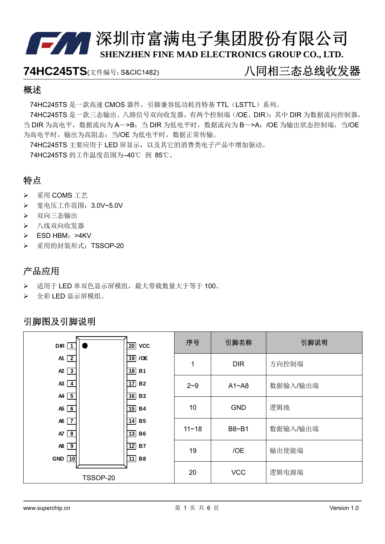**74HC245TS**(文件编号: S&CIC1482) 八同相三态总线收发器

#### 概述

74HC245TS 是一款高速 CMOS 器件, 引脚兼容低功耗肖特基 TTL (LSTTL) 系列。

74HC245TS 是一款三态输出、八路信号双向收发器,有两个控制端(/OE、DIR);其中 DIR 为数据流向控制器, 当 DIR 为高电平, 数据流向为 A->B: 当 DIR 为低电平时, 数据流向为 B->A: /OE 为输出状态控制端, 当/OE 为高电平时, 输出为高阻态; 当/OE 为低电平时, 数据正常传输。

74HC245TS 主要应用于 LED 屏显示,以及其它的消费类电子产品中增加驱动。 74HC245TS 的工作温度范围为–40℃ 到 85℃。

#### 特点

#### 采用 COMS 工艺

- 宽电压工作范围:3.0V~5.0V
- 双向三态输出
- > 八线双向收发器
- $\triangleright$  ESD HBM: >4KV
- ▶ 采用的封装形式: TSSOP-20

#### 产品应用

- 适用于 LED 单双色显示屏模组,最大带载数量大于等于 100。
- 全彩 LED 显示屏模组。

#### 引脚图及引脚说明

| <b>DIR</b><br>$\mathbf 1$                     |          | $\overline{20}$ VCC                                              | 序号        | 引脚名称       | 引脚说明     |
|-----------------------------------------------|----------|------------------------------------------------------------------|-----------|------------|----------|
| A1 $\sqrt{2}$<br>$\mathsf{A2}$ $\overline{3}$ |          | $19$ /OE<br>$\overline{18}$ B1                                   | 1         | <b>DIR</b> | 方向控制端    |
| $\overline{A3}$ $\overline{4}$<br>$AA$ 5      |          | $\overline{17}$ B <sub>2</sub><br>$\overline{16}$ B <sub>3</sub> | $2 - 9$   | $A1 - AB$  | 数据输入/输出端 |
| $A5$ 6                                        |          | $\overline{15}$ B4                                               | 10        | <b>GND</b> | 逻辑地      |
| A6 $\boxed{7}$<br>$AT$ $8$                    |          | $\overline{14}$ B <sub>5</sub><br>$\overline{13}$ B <sub>6</sub> | $11 - 18$ | B8~B1      | 数据输入/输出端 |
| $AB$ 9<br>GND 10                              |          | $\overline{12}$ B7<br>11<br><b>B8</b>                            | 19        | /OE        | 输出使能端    |
|                                               | TSSOP-20 |                                                                  | 20        | <b>VCC</b> | 逻辑电源端    |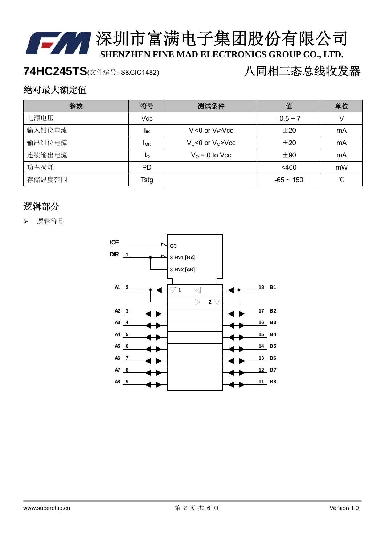## 74HC245TS(文件编号: S&CIC1482) **12 20 20 20 20 21 21 22 23 23 24 23 24 23 24 24 25 26**

### 绝对最大额定值

| 参数     | 符号          | 测试条件                        | 值              | 单位 |
|--------|-------------|-----------------------------|----------------|----|
| 电源电压   | Vcc         |                             | $-0.5 \sim 7$  | V  |
| 输入钳位电流 | lικ         | $V_i < 0$ or $V_i > V_{CC}$ | $\pm 20$       | mA |
| 输出钳位电流 | <b>I</b> OK | $V_0$ <0 or $V_0$ > $V_0$   | ±20            | mA |
| 连续输出电流 | Ιo          | $Vo = 0$ to Vcc             | ±90            | mA |
| 功率损耗   | PD          |                             | $<$ 400        | mW |
| 存储温度范围 | Tstg        |                             | $-65 \sim 150$ | °C |

#### 逻辑部分

逻辑符号

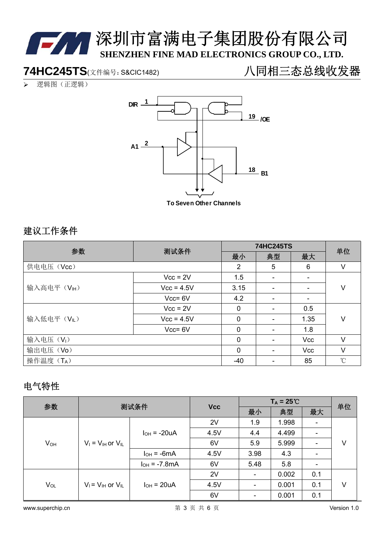

**74HC245TS**(文件编号: S&CIC1482) 八同相三态总线收发器

逻辑图(正逻辑)



**To Seven Other Channels**

#### 建议工作条件

| 参数                    | 测试条件         |             | <b>74HC245TS</b>         |            |              |  |
|-----------------------|--------------|-------------|--------------------------|------------|--------------|--|
|                       |              | 最小          | 典型                       | 最大         | 单位           |  |
| 供电电压 (Vcc)            |              | 2           | 5                        | 6          | V            |  |
|                       | $Vcc = 2V$   | 1.5         |                          |            |              |  |
| 输入高电平(VH)             | $Vcc = 4.5V$ | 3.15        |                          |            | V            |  |
|                       | $Vcc = 6V$   | 4.2         |                          |            |              |  |
|                       | $Vcc = 2V$   | $\mathbf 0$ | $\overline{\phantom{a}}$ | 0.5        |              |  |
| 输入低电平(VL)             | $Vcc = 4.5V$ | $\mathbf 0$ |                          | 1.35       | V            |  |
|                       | $Vcc = 6V$   | 0           |                          | 1.8        |              |  |
| 输入电压(V <sub>I</sub> ) |              | $\mathbf 0$ |                          | <b>Vcc</b> | $\vee$       |  |
| 输出电压(Vo)              |              | 0           |                          | <b>Vcc</b> | $\vee$       |  |
| 操作温度 (TA)             |              | $-40$       |                          | 85         | $^{\circ}$ C |  |

#### 电气特性

| 参数       | 测试条件                       |                       |            | $T_A = 25^{\circ}C$ |       |                          | 单位 |
|----------|----------------------------|-----------------------|------------|---------------------|-------|--------------------------|----|
|          |                            |                       | <b>Vcc</b> | 最小                  | 典型    | 最大                       |    |
|          | $V_1 = V_{H1}$ or $V_{IL}$ | $I_{OH}$ = -20uA      | 2V         | 1.9                 | 1.998 | $\overline{\phantom{a}}$ |    |
|          |                            |                       | 4.5V       | 4.4                 | 4.499 |                          | V  |
| $V_{OH}$ |                            |                       | 6V         | 5.9                 | 5.999 |                          |    |
|          |                            | $I_{OH} = -6mA$       | 4.5V       | 3.98                | 4.3   |                          |    |
|          |                            | $I_{OH} = -7.8mA$     | 6V         | 5.48                | 5.8   | $\overline{\phantom{a}}$ |    |
| $V_{OL}$ | $V_i = V_{iH}$ or $V_{iL}$ | $I_{OH}$ = 20 $\mu$ A | 2V         |                     | 0.002 | 0.1                      |    |
|          |                            |                       | 4.5V       |                     | 0.001 | 0.1                      | V  |
|          |                            |                       | 6V         |                     | 0.001 | 0.1                      |    |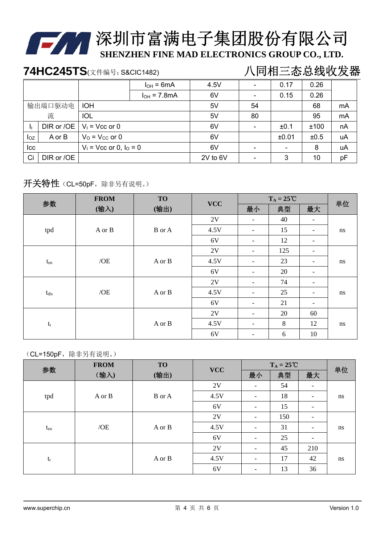

# 第24章深圳市富满电子集团股份有限公司

**SHENZHEN FINE MAD ELECTRONICS GROUP CO., LTD.**

# 74HC245TS(文件编号: S&CIC1482) **12 20 20 20 20 21 21 22 23 23 24 23 24 23 24 24 25 26**

|          |            |                             | $I_{OH} = 6mA$   | 4.5V     |    | 0.17  | 0.26 |    |
|----------|------------|-----------------------------|------------------|----------|----|-------|------|----|
|          |            |                             | $I_{OH}$ = 7.8mA | 6V       |    | 0.15  | 0.26 |    |
|          | 输出端口驱动电    | <b>IOH</b>                  |                  | 5V       | 54 |       | 68   | mA |
|          | 流          | <b>IOL</b>                  |                  | 5V       | 80 |       | 95   | mA |
|          | DIR or /OE | $V_1$ = Vcc or 0            |                  | 6V       |    | ±0.1  | ±100 | nA |
| $I_{OZ}$ | A or B     | $VO = VCC$ or 0             |                  | 6V       |    | ±0.01 | ±0.5 | uA |
| Icc      |            | $V_1$ = Vcc or 0, $I_0$ = 0 |                  | 6V       |    |       | 8    | uA |
| Ci       | DIR or /OE |                             |                  | 2V to 6V |    | 3     | 10   | pF |

#### 开关特性(CL=50pF,除非另有说明。)

| 参数            | <b>FROM</b> | <b>TO</b>     | <b>VCC</b> |                          | $T_A = 25^{\circ}C$ |                          | 单位 |
|---------------|-------------|---------------|------------|--------------------------|---------------------|--------------------------|----|
|               | (输入)        | (输出)          |            | 最小                       | 典型                  | 最大                       |    |
|               |             |               | 2V         | -                        | 40                  |                          |    |
| tpd           | A or B      | <b>B</b> or A | 4.5V       | $\overline{\phantom{a}}$ | 15                  | $\overline{\phantom{a}}$ | ns |
|               |             |               | 6V         | $\overline{\phantom{0}}$ | 12                  | $\overline{\phantom{a}}$ |    |
|               |             |               | 2V         | $\overline{\phantom{a}}$ | 125                 | $\overline{\phantom{a}}$ |    |
| $t_{\rm en}$  | /OE         | A or B        | 4.5V       | $\overline{\phantom{a}}$ | 23                  | $\overline{\phantom{a}}$ | ns |
|               |             |               | 6V         | $\overline{\phantom{0}}$ | 20                  | $\overline{\phantom{a}}$ |    |
|               |             |               | 2V         | $\overline{\phantom{a}}$ | 74                  | $\overline{\phantom{a}}$ |    |
| $t_{\rm dis}$ | /OE         | A or B        | 4.5V       | $\overline{\phantom{a}}$ | 25                  | $\overline{\phantom{a}}$ | ns |
|               |             |               | 6V         | $\overline{\phantom{a}}$ | 21                  | $\overline{\phantom{a}}$ |    |
|               |             |               | 2V         | $\overline{\phantom{a}}$ | 20                  | 60                       |    |
| $t_{\rm t}$   |             | A or B        | 4.5V       | $\overline{\phantom{0}}$ | 8                   | 12                       | ns |
|               |             |               | 6V         | $\overline{\phantom{a}}$ | 6                   | 10                       |    |

#### (CL=150pF,除非另有说明。)

| 参数       | <b>FROM</b> | <b>TO</b> | $T_A = 25^{\circ}C$ |                              | 单位  |                              |    |
|----------|-------------|-----------|---------------------|------------------------------|-----|------------------------------|----|
|          | (输入)        | (输出)      | <b>VCC</b>          | 最小                           | 典型  | 最大                           |    |
|          |             |           | 2V                  |                              | 54  |                              |    |
| tpd      | A or B      | B or A    | 4.5V                | $\overline{a}$               | 18  | $\qquad \qquad \blacksquare$ | ns |
|          |             |           | 6V                  | $\overline{\phantom{a}}$     | 15  | $\overline{\phantom{a}}$     |    |
|          |             |           | 2V                  |                              | 150 | -                            |    |
| $t_{en}$ | /OE         | A or B    | 4.5V                |                              | 31  |                              | ns |
|          |             |           | 6V                  | $\qquad \qquad \blacksquare$ | 25  | -                            |    |
|          |             |           | 2V                  | $\qquad \qquad \blacksquare$ | 45  | 210                          |    |
| $t_t$    |             | A or B    | 4.5V                | $\overline{\phantom{a}}$     | 17  | 42                           | ns |
|          |             |           | 6V                  |                              | 13  | 36                           |    |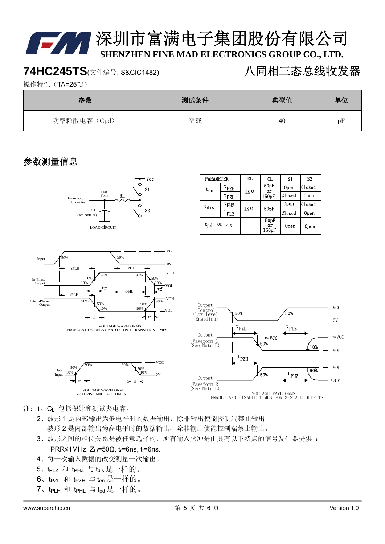### **74HC245TS**(文件编号: S&CIC1482) 八同相三态总线收发器

操作特性(TA=25℃)

| 参数           | 测试条件 | 典型值 | 单位 |
|--------------|------|-----|----|
| 功率耗散电容 (Cpd) | 空载   | 40  | pF |

#### 参数测量信息



| <b>PARAMETER</b>  |                             | RL. | CL                              | S1     | S2               |
|-------------------|-----------------------------|-----|---------------------------------|--------|------------------|
| $\mathrm{t_{en}}$ | 50pF<br><sup>t</sup> PZH    |     | 0pen                            | Closed |                  |
|                   | $t_{PZL}$                   |     | 1KΩ<br>or<br>150 <sub>pF</sub>  |        | 0 <sub>pen</sub> |
| $t_{dis}$         | $\mathrm{t}_{\mathrm{PHZ}}$ | 1KΩ |                                 | 0pen   | lC1osed          |
|                   | $\mathrm{t}_{\mathrm{PLZ}}$ |     | 50pF                            | Closed | 0pen             |
| $t_{\rm{dd}}$     | or $t_t$                    |     | 50pF<br>or<br>150 <sub>pF</sub> | 0pen   | 0pen             |



VOLTAGE WAVEFORMS<br>PROPAGATION DELAY AND OUTPUT TRANSITION TIMES



- 注:1、CL 包括探针和测试夹电容。
	- 2、波形 1 是内部输出为低电平时的数据输出,除非输出使能控制端禁止输出。 波形 2 是内部输出为高电平时的数据输出,除非输出使能控制端禁止输出。
	- 3、波形之间的相位关系是被任意选择的,所有输入脉冲是由具有以下特点的信号发生器提供 : PRR≤1MHz,  $Z_0$ =50Ω, t<sub>r</sub>=6ns, t<sub>f</sub>=6ns,
	- 4、每一次输入数据的改变测量一次输出。
	- 5、tPLZ 和 tPHZ 与 tdis是一样的。
	- 6、tPZL 和 tPZH 与 ten是一样的。
	- 7、tPLH 和 tPHL 与 tpd是一样的。